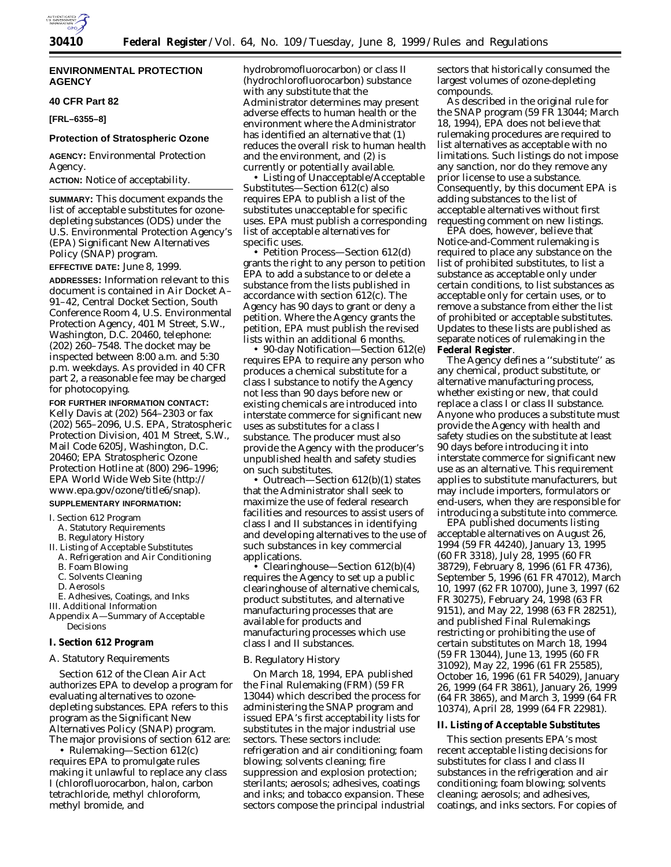

## **ENVIRONMENTAL PROTECTION AGENCY**

## **40 CFR Part 82**

**[FRL–6355–8]**

## **Protection of Stratospheric Ozone**

**AGENCY:** Environmental Protection Agency.

**ACTION:** Notice of acceptability.

**SUMMARY:** This document expands the list of acceptable substitutes for ozonedepleting substances (ODS) under the U.S. Environmental Protection Agency's (EPA) Significant New Alternatives Policy (SNAP) program.

## **EFFECTIVE DATE:** June 8, 1999.

**ADDRESSES:** Information relevant to this document is contained in Air Docket A– 91–42, Central Docket Section, South Conference Room 4, U.S. Environmental Protection Agency, 401 M Street, S.W., Washington, D.C. 20460, telephone: (202) 260–7548. The docket may be inspected between 8:00 a.m. and 5:30 p.m. weekdays. As provided in 40 CFR part 2, a reasonable fee may be charged for photocopying.

## **FOR FURTHER INFORMATION CONTACT:**

Kelly Davis at (202) 564–2303 or fax (202) 565–2096, U.S. EPA, Stratospheric Protection Division, 401 M Street, S.W., Mail Code 6205J, Washington, D.C. 20460; EPA Stratospheric Ozone Protection Hotline at (800) 296–1996; EPA World Wide Web Site (http:// www.epa.gov/ozone/title6/snap).

#### **SUPPLEMENTARY INFORMATION:**

## I. Section 612 Program

A. Statutory Requirements

- B. Regulatory History
- II. Listing of Acceptable Substitutes
- A. Refrigeration and Air Conditioning
- B. Foam Blowing
- C. Solvents Cleaning
- D. Aerosols

E. Adhesives, Coatings, and Inks

III. Additional Information

Appendix A—Summary of Acceptable Decisions

## **I. Section 612 Program**

#### *A. Statutory Requirements*

Section 612 of the Clean Air Act authorizes EPA to develop a program for evaluating alternatives to ozonedepleting substances. EPA refers to this program as the Significant New Alternatives Policy (SNAP) program. The major provisions of section 612 are:

• *Rulemaking*—Section 612(c) requires EPA to promulgate rules making it unlawful to replace any class I (chlorofluorocarbon, halon, carbon tetrachloride, methyl chloroform, methyl bromide, and

hydrobromofluorocarbon) or class II (hydrochlorofluorocarbon) substance with any substitute that the Administrator determines may present adverse effects to human health or the environment where the Administrator has identified an alternative that (1) reduces the overall risk to human health and the environment, and (2) is currently or potentially available.

• Listing of Unacceptable/Acceptable Substitutes—Section 612(c) also requires EPA to publish a list of the substitutes unacceptable for specific uses. EPA must publish a corresponding list of acceptable alternatives for specific uses.

• *Petition Process*—Section 612(d) grants the right to any person to petition EPA to add a substance to or delete a substance from the lists published in accordance with section 612(c). The Agency has 90 days to grant or deny a petition. Where the Agency grants the petition, EPA must publish the revised lists within an additional 6 months.

• *90-day Notification*—Section 612(e) requires EPA to require any person who produces a chemical substitute for a class I substance to notify the Agency not less than 90 days before new or existing chemicals are introduced into interstate commerce for significant new uses as substitutes for a class I substance. The producer must also provide the Agency with the producer's unpublished health and safety studies on such substitutes.

• *Outreach*—Section 612(b)(1) states that the Administrator shall seek to maximize the use of federal research facilities and resources to assist users of class I and II substances in identifying and developing alternatives to the use of such substances in key commercial applications.

• *Clearinghouse*—Section 612(b)(4) requires the Agency to set up a public clearinghouse of alternative chemicals, product substitutes, and alternative manufacturing processes that are available for products and manufacturing processes which use class I and II substances.

### *B. Regulatory History*

On March 18, 1994, EPA published the Final Rulemaking (FRM) (59 FR 13044) which described the process for administering the SNAP program and issued EPA's first acceptability lists for substitutes in the major industrial use sectors. These sectors include: refrigeration and air conditioning; foam blowing; solvents cleaning; fire suppression and explosion protection; sterilants; aerosols; adhesives, coatings and inks; and tobacco expansion. These sectors compose the principal industrial sectors that historically consumed the largest volumes of ozone-depleting compounds.

As described in the original rule for the SNAP program (59 FR 13044; March 18, 1994), EPA does not believe that rulemaking procedures are required to list alternatives as acceptable with no limitations. Such listings do not impose any sanction, nor do they remove any prior license to use a substance. Consequently, by this document EPA is adding substances to the list of acceptable alternatives without first requesting comment on new listings.

EPA does, however, believe that Notice-and-Comment rulemaking is required to place any substance on the list of prohibited substitutes, to list a substance as acceptable only under certain conditions, to list substances as acceptable only for certain uses, or to remove a substance from either the list of prohibited or acceptable substitutes. Updates to these lists are published as separate notices of rulemaking in the **Federal Register**.

The Agency defines a ''substitute'' as any chemical, product substitute, or alternative manufacturing process, whether existing or new, that could replace a class I or class II substance. Anyone who produces a substitute must provide the Agency with health and safety studies on the substitute at least 90 days before introducing it into interstate commerce for significant new use as an alternative. This requirement applies to substitute manufacturers, but may include importers, formulators or end-users, when they are responsible for introducing a substitute into commerce.

EPA published documents listing acceptable alternatives on August 26, 1994 (59 FR 44240), January 13, 1995 (60 FR 3318), July 28, 1995 (60 FR 38729), February 8, 1996 (61 FR 4736), September 5, 1996 (61 FR 47012), March 10, 1997 (62 FR 10700), June 3, 1997 (62 FR 30275), February 24, 1998 (63 FR 9151), and May 22, 1998 (63 FR 28251), and published Final Rulemakings restricting or prohibiting the use of certain substitutes on March 18, 1994 (59 FR 13044), June 13, 1995 (60 FR 31092), May 22, 1996 (61 FR 25585), October 16, 1996 (61 FR 54029), January 26, 1999 (64 FR 3861), January 26, 1999 (64 FR 3865), and March 3, 1999 (64 FR 10374), April 28, 1999 (64 FR 22981).

#### **II. Listing of Acceptable Substitutes**

This section presents EPA's most recent acceptable listing decisions for substitutes for class I and class II substances in the refrigeration and air conditioning; foam blowing; solvents cleaning; aerosols; and adhesives, coatings, and inks sectors. For copies of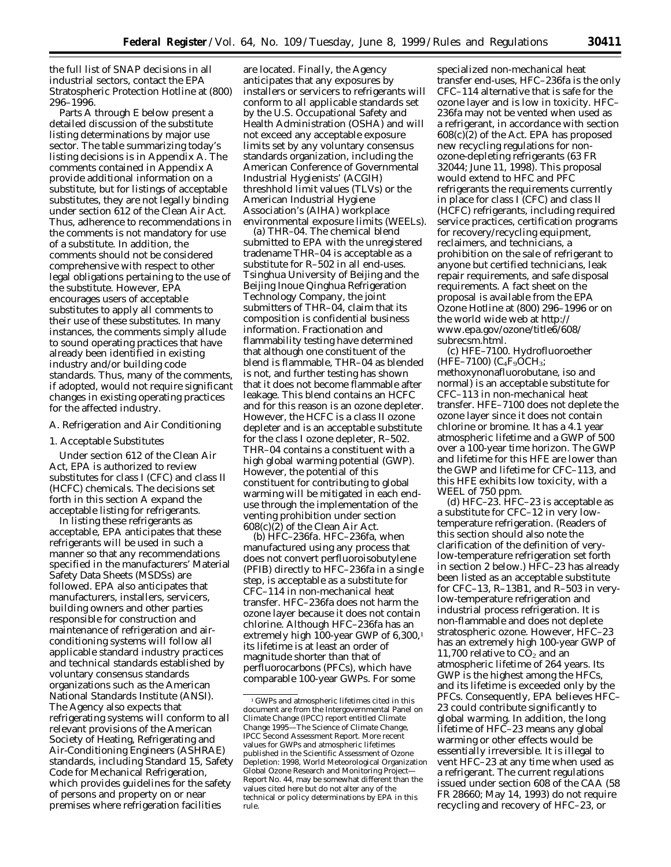the full list of SNAP decisions in all industrial sectors, contact the EPA Stratospheric Protection Hotline at (800) 296–1996.

Parts A through E below present a detailed discussion of the substitute listing determinations by major use sector. The table summarizing today's listing decisions is in Appendix A. The comments contained in Appendix A provide additional information on a substitute, but for listings of acceptable substitutes, they are not legally binding under section 612 of the Clean Air Act. Thus, adherence to recommendations in the comments is not mandatory for use of a substitute. In addition, the comments should not be considered comprehensive with respect to other legal obligations pertaining to the use of the substitute. However, EPA encourages users of acceptable substitutes to apply all comments to their use of these substitutes. In many instances, the comments simply allude to sound operating practices that have already been identified in existing industry and/or building code standards. Thus, many of the comments, if adopted, would not require significant changes in existing operating practices for the affected industry.

## *A. Refrigeration and Air Conditioning*

### 1. Acceptable Substitutes

Under section 612 of the Clean Air Act, EPA is authorized to review substitutes for class I (CFC) and class II (HCFC) chemicals. The decisions set forth in this section A expand the acceptable listing for refrigerants.

In listing these refrigerants as acceptable, EPA anticipates that these refrigerants will be used in such a manner so that any recommendations specified in the manufacturers' Material Safety Data Sheets (MSDSs) are followed. EPA also anticipates that manufacturers, installers, servicers, building owners and other parties responsible for construction and maintenance of refrigeration and airconditioning systems will follow all applicable standard industry practices and technical standards established by voluntary consensus standards organizations such as the American National Standards Institute (ANSI). The Agency also expects that refrigerating systems will conform to all relevant provisions of the American Society of Heating, Refrigerating and Air-Conditioning Engineers (ASHRAE) standards, including Standard 15, Safety Code for Mechanical Refrigeration, which provides guidelines for the safety of persons and property on or near premises where refrigeration facilities

are located. Finally, the Agency anticipates that any exposures by installers or servicers to refrigerants will conform to all applicable standards set by the U.S. Occupational Safety and Health Administration (OSHA) and will not exceed any acceptable exposure limits set by any voluntary consensus standards organization, including the American Conference of Governmental Industrial Hygienists' (ACGIH) threshhold limit values (TLVs) or the American Industrial Hygiene Association's (AIHA) workplace environmental exposure limits (WEELs).

*(a) THR–04.* The chemical blend submitted to EPA with the unregistered tradename THR–04 is acceptable as a substitute for R–502 in all end-uses. Tsinghua University of Beijing and the Beijing Inoue Qinghua Refrigeration Technology Company, the joint submitters of THR–04, claim that its composition is confidential business information. Fractionation and flammability testing have determined that although one constituent of the blend is flammable, THR–04 as blended is not, and further testing has shown that it does not become flammable after leakage. This blend contains an HCFC and for this reason is an ozone depleter. However, the HCFC is a class II ozone depleter and is an acceptable substitute for the class I ozone depleter, R–502. THR–04 contains a constituent with a high global warming potential (GWP). However, the potential of this constituent for contributing to global warming will be mitigated in each enduse through the implementation of the venting prohibition under section 608(c)(2) of the Clean Air Act.

*(b) HFC–236fa.* HFC–236fa, when manufactured using any process that does not convert perfluoroisobutylene (PFIB) directly to HFC–236fa in a single step, is acceptable as a substitute for CFC–114 in non-mechanical heat transfer. HFC–236fa does not harm the ozone layer because it does not contain chlorine. Although HFC–236fa has an extremely high 100-year GWP of 6,300,<sup>1</sup> its lifetime is at least an order of magnitude shorter than that of perfluorocarbons (PFCs), which have comparable 100-year GWPs. For some

specialized non-mechanical heat transfer end-uses, HFC–236fa is the only CFC–114 alternative that is safe for the ozone layer and is low in toxicity. HFC– 236fa may not be vented when used as a refrigerant, in accordance with section 608(c)(2) of the Act. EPA has proposed new recycling regulations for nonozone-depleting refrigerants (63 FR 32044; June 11, 1998). This proposal would extend to HFC and PFC refrigerants the requirements currently in place for class I (CFC) and class II (HCFC) refrigerants, including required service practices, certification programs for recovery/recycling equipment, reclaimers, and technicians, a prohibition on the sale of refrigerant to anyone but certified technicians, leak repair requirements, and safe disposal requirements. A fact sheet on the proposal is available from the EPA Ozone Hotline at (800) 296–1996 or on the world wide web at http:// www.epa.gov/ozone/title6/608/ subrecsm.html.

*(c) HFE–7100.* Hydrofluoroether (HFE–7100) ( $C_4F_9OCH_3$ ; methoxynonafluorobutane, iso and normal) is an acceptable substitute for CFC–113 in non-mechanical heat transfer. HFE–7100 does not deplete the ozone layer since it does not contain chlorine or bromine. It has a 4.1 year atmospheric lifetime and a GWP of 500 over a 100-year time horizon. The GWP and lifetime for this HFE are lower than the GWP and lifetime for CFC–113, and this HFE exhibits low toxicity, with a WEEL of 750 ppm.

*(d) HFC–23.* HFC–23 is acceptable as a substitute for CFC–12 in very lowtemperature refrigeration. (Readers of this section should also note the clarification of the definition of verylow-temperature refrigeration set forth in section 2 below.) HFC–23 has already been listed as an acceptable substitute for CFC–13, R–13B1, and R–503 in verylow-temperature refrigeration and industrial process refrigeration. It is non-flammable and does not deplete stratospheric ozone. However, HFC–23 has an extremely high 100-year GWP of 11,700 relative to  $\overline{CO}_2$  and an atmospheric lifetime of 264 years. Its GWP is the highest among the HFCs, and its lifetime is exceeded only by the PFCs. Consequently, EPA believes HFC– 23 could contribute significantly to global warming. In addition, the long lifetime of HFC–23 means any global warming or other effects would be essentially irreversible. It is illegal to vent HFC–23 at any time when used as a refrigerant. The current regulations issued under section 608 of the CAA (58 FR 28660; May 14, 1993) do not require recycling and recovery of HFC–23, or

 $^{\rm 1}\mathsf{GWPs}$  and atmospheric lifetimes cited in this document are from the Intergovernmental Panel on Climate Change (IPCC) report entitled *Climate Change 1995—The Science of Climate Change,* IPCC Second Assessment Report. More recent values for GWPs and atmospheric lifetimes published in the *Scientific Assessment of Ozone Depletion: 1998*, World Meteorological Organization Global Ozone Research and Monitoring Project— Report No. 44, may be somewhat different than the values cited here but do not alter any of the technical or policy determinations by EPA in this rule.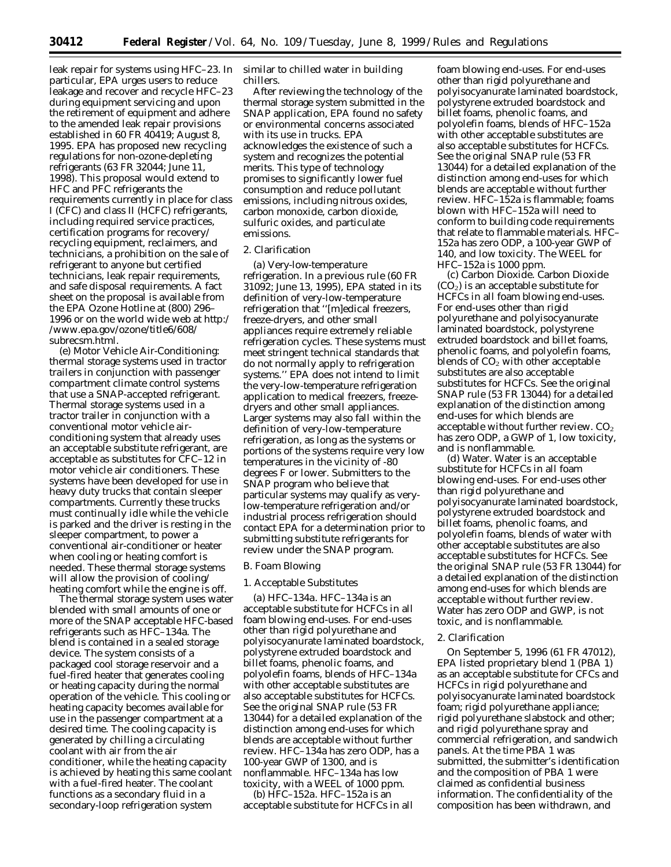leak repair for systems using HFC–23. In particular, EPA urges users to reduce leakage and recover and recycle HFC–23 during equipment servicing and upon the retirement of equipment and adhere to the amended leak repair provisions established in 60 FR 40419; August 8, 1995. EPA has proposed new recycling regulations for non-ozone-depleting refrigerants (63 FR 32044; June 11, 1998). This proposal would extend to HFC and PFC refrigerants the requirements currently in place for class I (CFC) and class II (HCFC) refrigerants, including required service practices, certification programs for recovery/ recycling equipment, reclaimers, and technicians, a prohibition on the sale of refrigerant to anyone but certified technicians, leak repair requirements, and safe disposal requirements. A fact sheet on the proposal is available from the EPA Ozone Hotline at (800) 296– 1996 or on the world wide web at http:/ /www.epa.gov/ozone/title6/608/ subrecsm.html.

*(e) Motor Vehicle Air-Conditioning: thermal storage systems used in tractor trailers in conjunction with passenger compartment climate control systems that use a SNAP-accepted refrigerant.* Thermal storage systems used in a tractor trailer in conjunction with a conventional motor vehicle airconditioning system that already uses an acceptable substitute refrigerant, are acceptable as substitutes for CFC–12 in motor vehicle air conditioners. These systems have been developed for use in heavy duty trucks that contain sleeper compartments. Currently these trucks must continually idle while the vehicle is parked and the driver is resting in the sleeper compartment, to power a conventional air-conditioner or heater when cooling or heating comfort is needed. These thermal storage systems will allow the provision of cooling/ heating comfort while the engine is off.

The thermal storage system uses water blended with small amounts of one or more of the SNAP acceptable HFC-based refrigerants such as HFC–134a. The blend is contained in a sealed storage device. The system consists of a packaged cool storage reservoir and a fuel-fired heater that generates cooling or heating capacity during the normal operation of the vehicle. This cooling or heating capacity becomes available for use in the passenger compartment at a desired time. The cooling capacity is generated by chilling a circulating coolant with air from the air conditioner, while the heating capacity is achieved by heating this same coolant with a fuel-fired heater. The coolant functions as a secondary fluid in a secondary-loop refrigeration system

similar to chilled water in building chillers.

After reviewing the technology of the thermal storage system submitted in the SNAP application, EPA found no safety or environmental concerns associated with its use in trucks. EPA acknowledges the existence of such a system and recognizes the potential merits. This type of technology promises to significantly lower fuel consumption and reduce pollutant emissions, including nitrous oxides, carbon monoxide, carbon dioxide, sulfuric oxides, and particulate emissions.

## 2. Clarification

*(a) Very-low-temperature refrigeration.* In a previous rule (60 FR 31092; June 13, 1995), EPA stated in its definition of very-low-temperature refrigeration that ''[m]edical freezers, freeze-dryers, and other small appliances require extremely reliable refrigeration cycles. These systems must meet stringent technical standards that do not normally apply to refrigeration systems.'' EPA does not intend to limit the very-low-temperature refrigeration application to medical freezers, freezedryers and other small appliances. Larger systems may also fall within the definition of very-low-temperature refrigeration, as long as the systems or portions of the systems require very low temperatures in the vicinity of -80 degrees F or lower. Submitters to the SNAP program who believe that particular systems may qualify as verylow-temperature refrigeration and/or industrial process refrigeration should contact EPA for a determination prior to submitting substitute refrigerants for review under the SNAP program.

## *B. Foam Blowing*

## 1. Acceptable Substitutes

*(a) HFC–134a.* HFC–134a is an acceptable substitute for HCFCs in all foam blowing end-uses. For end-uses other than rigid polyurethane and polyisocyanurate laminated boardstock, polystyrene extruded boardstock and billet foams, phenolic foams, and polyolefin foams, blends of HFC–134a with other acceptable substitutes are also acceptable substitutes for HCFCs. See the original SNAP rule (53 FR 13044) for a detailed explanation of the distinction among end-uses for which blends are acceptable without further review. HFC–134a has zero ODP, has a 100-year GWP of 1300, and is nonflammable. HFC–134a has low toxicity, with a WEEL of 1000 ppm.

*(b) HFC–152a.* HFC–152a is an acceptable substitute for HCFCs in all

foam blowing end-uses. For end-uses other than rigid polyurethane and polyisocyanurate laminated boardstock, polystyrene extruded boardstock and billet foams, phenolic foams, and polyolefin foams, blends of HFC–152a with other acceptable substitutes are also acceptable substitutes for HCFCs. See the original SNAP rule (53 FR 13044) for a detailed explanation of the distinction among end-uses for which blends are acceptable without further review. HFC–152a is flammable; foams blown with HFC–152a will need to conform to building code requirements that relate to flammable materials. HFC– 152a has zero ODP, a 100-year GWP of 140, and low toxicity. The WEEL for HFC–152a is 1000 ppm.

*(c) Carbon Dioxide.* Carbon Dioxide  $(CO<sub>2</sub>)$  is an acceptable substitute for HCFCs in all foam blowing end-uses. For end-uses other than rigid polyurethane and polyisocyanurate laminated boardstock, polystyrene extruded boardstock and billet foams, phenolic foams, and polyolefin foams, blends of  $CO<sub>2</sub>$  with other acceptable substitutes are also acceptable substitutes for HCFCs. See the original SNAP rule (53 FR 13044) for a detailed explanation of the distinction among end-uses for which blends are acceptable without further review.  $CO<sub>2</sub>$ has zero ODP, a GWP of 1, low toxicity, and is nonflammable.

*(d) Water.* Water is an acceptable substitute for HCFCs in all foam blowing end-uses. For end-uses other than rigid polyurethane and polyisocyanurate laminated boardstock, polystyrene extruded boardstock and billet foams, phenolic foams, and polyolefin foams, blends of water with other acceptable substitutes are also acceptable substitutes for HCFCs. See the original SNAP rule (53 FR 13044) for a detailed explanation of the distinction among end-uses for which blends are acceptable without further review. Water has zero ODP and GWP, is not toxic, and is nonflammable.

#### 2. Clarification

On September 5, 1996 (61 FR 47012), EPA listed proprietary blend 1 (PBA 1) as an acceptable substitute for CFCs and HCFCs in rigid polyurethane and polyisocyanurate laminated boardstock foam; rigid polyurethane appliance; rigid polyurethane slabstock and other; and rigid polyurethane spray and commercial refrigeration, and sandwich panels. At the time PBA 1 was submitted, the submitter's identification and the composition of PBA 1 were claimed as confidential business information. The confidentiality of the composition has been withdrawn, and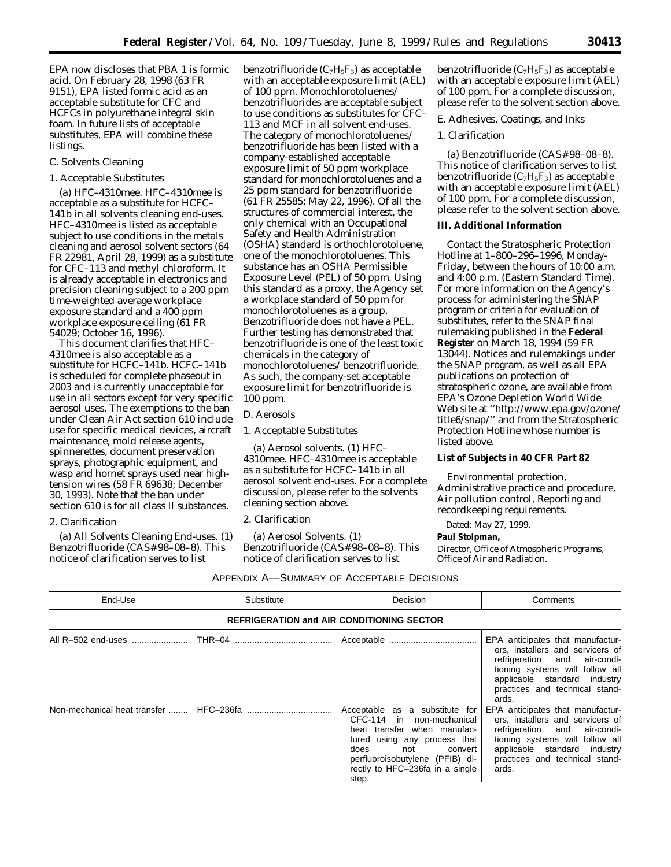EPA now discloses that PBA 1 is formic acid. On February 28, 1998 (63 FR 9151), EPA listed formic acid as an acceptable substitute for CFC and HCFCs in polyurethane integral skin foam. In future lists of acceptable substitutes, EPA will combine these listings.

## *C. Solvents Cleaning*

## 1. Acceptable Substitutes

*(a) HFC–4310mee.* HFC–4310mee is acceptable as a substitute for HCFC– 141b in all solvents cleaning end-uses. HFC–4310mee is listed as acceptable subject to use conditions in the metals cleaning and aerosol solvent sectors (64 FR 22981, April 28, 1999) as a substitute for CFC–113 and methyl chloroform. It is already acceptable in electronics and precision cleaning subject to a 200 ppm time-weighted average workplace exposure standard and a 400 ppm workplace exposure ceiling (61 FR 54029; October 16, 1996).

This document clarifies that HFC– 4310mee is also acceptable as a substitute for HCFC–141b. HCFC–141b is scheduled for complete phaseout in 2003 and is currently unacceptable for use in all sectors except for very specific aerosol uses. The exemptions to the ban under Clean Air Act section 610 include use for specific medical devices, aircraft maintenance, mold release agents, spinnerettes, document preservation sprays, photographic equipment, and wasp and hornet sprays used near hightension wires (58 FR 69638; December 30, 1993). Note that the ban under section 610 is for all class II substances.

## 2. Clarification

*(a) All Solvents Cleaning End-uses.* (1) Benzotrifluoride (CAS# 98–08–8). This notice of clarification serves to list

benzotrifluoride  $(C_7H_5F_3)$  as acceptable with an acceptable exposure limit (AEL) of 100 ppm. Monochlorotoluenes/ benzotrifluorides are acceptable subject to use conditions as substitutes for CFC– 113 and MCF in all solvent end-uses. The category of monochlorotoluenes/ benzotrifluoride has been listed with a company-established acceptable exposure limit of 50 ppm workplace standard for monochlorotoluenes and a 25 ppm standard for benzotrifluoride (61 FR 25585; May 22, 1996). Of all the structures of commercial interest, the only chemical with an Occupational Safety and Health Administration (OSHA) standard is orthochlorotoluene, one of the monochlorotoluenes. This substance has an OSHA Permissible Exposure Level (PEL) of 50 ppm. Using this standard as a proxy, the Agency set a workplace standard of 50 ppm for monochlorotoluenes as a group. Benzotrifluoride does not have a PEL. Further testing has demonstrated that benzotrifluoride is one of the least toxic chemicals in the category of monochlorotoluenes/ benzotrifluoride. As such, the company-set acceptable exposure limit for benzotrifluoride is 100 ppm.

#### *D. Aerosols*

1. Acceptable Substitutes

*(a) Aerosol solvents.* (1) HFC– 4310mee. HFC–4310mee is acceptable as a substitute for HCFC–141b in all aerosol solvent end-uses. For a complete discussion, please refer to the solvents cleaning section above.

#### 2. Clarification

*(a) Aerosol Solvents.* (1) Benzotrifluoride (CAS# 98–08–8). This notice of clarification serves to list

benzotrifluoride  $(C_7H_5F_3)$  as acceptable with an acceptable exposure limit (AEL) of 100 ppm. For a complete discussion, please refer to the solvent section above.

### *E. Adhesives, Coatings, and Inks*

## 1. Clarification

*(a) Benzotrifluoride (CAS*# 98–08–8). This notice of clarification serves to list benzotrifluoride  $(C_7H_5F_3)$  as acceptable with an acceptable exposure limit (AEL) of 100 ppm. For a complete discussion, please refer to the solvent section above.

## **III. Additional Information**

Contact the Stratospheric Protection Hotline at 1–800–296–1996, Monday-Friday, between the hours of 10:00 a.m. and 4:00 p.m. (Eastern Standard Time). For more information on the Agency's process for administering the SNAP program or criteria for evaluation of substitutes, refer to the SNAP final rulemaking published in the **Federal Register** on March 18, 1994 (59 FR 13044). Notices and rulemakings under the SNAP program, as well as all EPA publications on protection of stratospheric ozone, are available from EPA's Ozone Depletion World Wide Web site at ''http://www.epa.gov/ozone/ title6/snap/'' and from the Stratospheric Protection Hotline whose number is listed above.

## **List of Subjects in 40 CFR Part 82**

Environmental protection, Administrative practice and procedure, Air pollution control, Reporting and recordkeeping requirements.

Dated: May 27, 1999.

## **Paul Stolpman,**

*Director, Office of Atmospheric Programs, Office of Air and Radiation.*

| APPENDIX A—SUMMARY OF ACCEPTABLE DECISIONS |  |
|--------------------------------------------|--|
|--------------------------------------------|--|

| End-Use                                          | Substitute | Decision                                                                                                                                                                                                                            | Comments                                                                                                                                                                                                           |  |  |
|--------------------------------------------------|------------|-------------------------------------------------------------------------------------------------------------------------------------------------------------------------------------------------------------------------------------|--------------------------------------------------------------------------------------------------------------------------------------------------------------------------------------------------------------------|--|--|
| <b>REFRIGERATION and AIR CONDITIONING SECTOR</b> |            |                                                                                                                                                                                                                                     |                                                                                                                                                                                                                    |  |  |
| All R-502 end-uses                               |            |                                                                                                                                                                                                                                     | EPA anticipates that manufactur-<br>ers, installers and servicers of<br>refrigeration and air-condi-<br>tioning systems will follow all<br>applicable standard industry<br>practices and technical stand-<br>ards. |  |  |
|                                                  |            | Acceptable as a substitute for<br>CFC-114 in non-mechanical<br>heat transfer when manufac-<br>tured using any process that<br>not<br>does<br>convert<br>perfluoroisobutylene (PFIB) di-<br>rectly to HFC-236fa in a single<br>step. | EPA anticipates that manufactur-<br>ers, installers and servicers of<br>refrigeration and air-condi-<br>tioning systems will follow all<br>applicable standard industry<br>practices and technical stand-<br>ards. |  |  |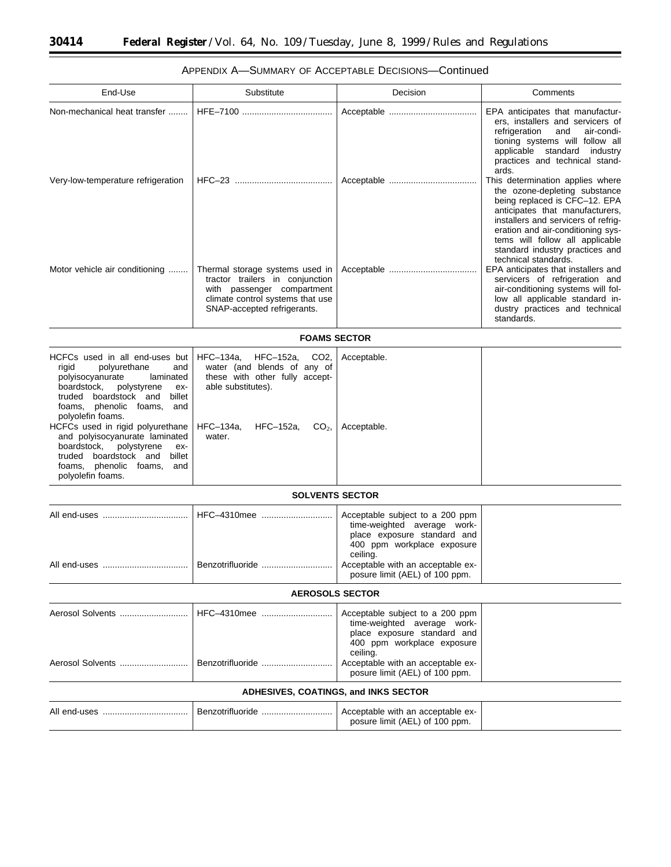$\equiv$ 

t

| End-Use                                                                                                                                                                                                                                                                                                                                                                                          | Substitute                                                                                                                                                                 | Decision                                                                                                                                | Comments                                                                                                                                                                                                                                                                                |  |  |
|--------------------------------------------------------------------------------------------------------------------------------------------------------------------------------------------------------------------------------------------------------------------------------------------------------------------------------------------------------------------------------------------------|----------------------------------------------------------------------------------------------------------------------------------------------------------------------------|-----------------------------------------------------------------------------------------------------------------------------------------|-----------------------------------------------------------------------------------------------------------------------------------------------------------------------------------------------------------------------------------------------------------------------------------------|--|--|
|                                                                                                                                                                                                                                                                                                                                                                                                  |                                                                                                                                                                            |                                                                                                                                         | EPA anticipates that manufactur-<br>ers, installers and servicers of<br>refrigeration<br>and<br>air-condi-<br>tioning systems will follow all<br>applicable standard industry<br>practices and technical stand-<br>ards.                                                                |  |  |
| Very-low-temperature refrigeration                                                                                                                                                                                                                                                                                                                                                               |                                                                                                                                                                            |                                                                                                                                         | This determination applies where<br>the ozone-depleting substance<br>being replaced is CFC-12. EPA<br>anticipates that manufacturers,<br>installers and servicers of refrig-<br>eration and air-conditioning sys-<br>tems will follow all applicable<br>standard industry practices and |  |  |
| Motor vehicle air conditioning                                                                                                                                                                                                                                                                                                                                                                   | Thermal storage systems used in<br>tractor trailers in conjunction<br>with passenger compartment<br>climate control systems that use<br>SNAP-accepted refrigerants.        |                                                                                                                                         | technical standards.<br>EPA anticipates that installers and<br>servicers of refrigeration and<br>air-conditioning systems will fol-<br>low all applicable standard in-<br>dustry practices and technical<br>standards.                                                                  |  |  |
| <b>FOAMS SECTOR</b>                                                                                                                                                                                                                                                                                                                                                                              |                                                                                                                                                                            |                                                                                                                                         |                                                                                                                                                                                                                                                                                         |  |  |
| HCFCs used in all end-uses but<br>rigid<br>polyurethane<br>and<br>polyisocyanurate<br>laminated<br>boardstock,<br>polystyrene<br>ex-<br>truded boardstock and billet<br>foams, phenolic foams, and<br>polyolefin foams.<br>HCFCs used in rigid polyurethane<br>and polyisocyanurate laminated<br>polystyrene<br>boardstock,<br>ex-<br>truded boardstock and billet<br>foams, phenolic foams, and | HFC-134a, HFC-152a,<br>CO <sub>2</sub><br>water (and blends of any of<br>these with other fully accept-<br>able substitutes).<br>HFC-134a,<br>HFC-152a, $CO_2$ ,<br>water. | Acceptable.<br>Acceptable.                                                                                                              |                                                                                                                                                                                                                                                                                         |  |  |
| polyolefin foams.                                                                                                                                                                                                                                                                                                                                                                                |                                                                                                                                                                            |                                                                                                                                         |                                                                                                                                                                                                                                                                                         |  |  |
|                                                                                                                                                                                                                                                                                                                                                                                                  | <b>SOLVENTS SECTOR</b>                                                                                                                                                     |                                                                                                                                         |                                                                                                                                                                                                                                                                                         |  |  |
|                                                                                                                                                                                                                                                                                                                                                                                                  | HFC-4310mee                                                                                                                                                                | Acceptable subject to a 200 ppm<br>time-weighted average work-<br>place exposure standard and<br>400 ppm workplace exposure<br>ceiling. |                                                                                                                                                                                                                                                                                         |  |  |
|                                                                                                                                                                                                                                                                                                                                                                                                  |                                                                                                                                                                            | Acceptable with an acceptable ex-<br>posure limit (AEL) of 100 ppm.                                                                     |                                                                                                                                                                                                                                                                                         |  |  |
|                                                                                                                                                                                                                                                                                                                                                                                                  | <b>AEROSOLS SECTOR</b>                                                                                                                                                     |                                                                                                                                         |                                                                                                                                                                                                                                                                                         |  |  |
| Aerosol Solvents                                                                                                                                                                                                                                                                                                                                                                                 | HFC-4310mee                                                                                                                                                                | Acceptable subject to a 200 ppm<br>time-weighted average work-<br>place exposure standard and<br>400 ppm workplace exposure<br>ceiling. |                                                                                                                                                                                                                                                                                         |  |  |
|                                                                                                                                                                                                                                                                                                                                                                                                  | Benzotrifluoride                                                                                                                                                           | Acceptable with an acceptable ex-<br>posure limit (AEL) of 100 ppm.                                                                     |                                                                                                                                                                                                                                                                                         |  |  |
| <b>ADHESIVES, COATINGS, and INKS SECTOR</b>                                                                                                                                                                                                                                                                                                                                                      |                                                                                                                                                                            |                                                                                                                                         |                                                                                                                                                                                                                                                                                         |  |  |
|                                                                                                                                                                                                                                                                                                                                                                                                  | Benzotrifluoride                                                                                                                                                           | Acceptable with an acceptable ex-<br>posure limit (AEL) of 100 ppm.                                                                     |                                                                                                                                                                                                                                                                                         |  |  |
|                                                                                                                                                                                                                                                                                                                                                                                                  |                                                                                                                                                                            |                                                                                                                                         |                                                                                                                                                                                                                                                                                         |  |  |

# APPENDIX A—SUMMARY OF ACCEPTABLE DECISIONS—Continued